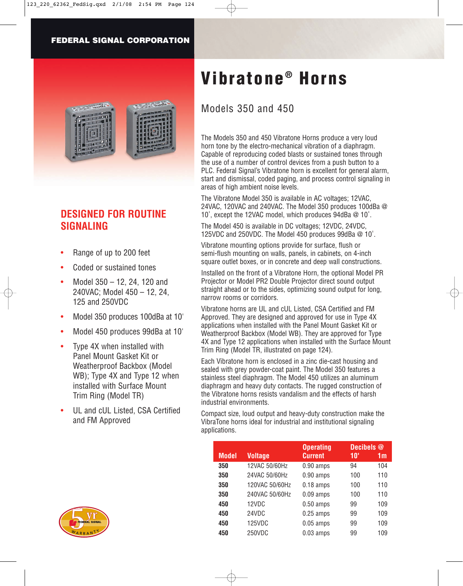

## **DESIGNED FOR ROUTINE SIGNALING**

- Range of up to 200 feet
- Coded or sustained tones
- Model 350 12, 24, 120 and 240VAC; Model 450 – 12, 24, 125 and 250VDC
- Model 350 produces 100dBa at 10'
- Model 450 produces 99dBa at 10'
- Type 4X when installed with Panel Mount Gasket Kit or Weatherproof Backbox (Model WB); Type 4X and Type 12 when installed with Surface Mount Trim Ring (Model TR)
- UL and cUL Listed, CSA Certified and FM Approved



# Models 350 and 450

The Models 350 and 450 Vibratone Horns produce a very loud horn tone by the electro-mechanical vibration of a diaphragm. Capable of reproducing coded blasts or sustained tones through the use of a number of control devices from a push button to a PLC. Federal Signal's Vibratone horn is excellent for general alarm, start and dismissal, coded paging, and process control signaling in areas of high ambient noise levels.

The Vibratone Model 350 is available in AC voltages; 12VAC, 24VAC, 120VAC and 240VAC. The Model 350 produces 100dBa @ 10', except the 12VAC model, which produces 94dBa @ 10'.

The Model 450 is available in DC voltages; 12VDC, 24VDC, 125VDC and 250VDC. The Model 450 produces 99dBa @ 10'.

Vibratone mounting options provide for surface, flush or semi-flush mounting on walls, panels, in cabinets, on 4-inch square outlet boxes, or in concrete and deep wall constructions.

Installed on the front of a Vibratone Horn, the optional Model PR Projector or Model PR2 Double Projector direct sound output straight ahead or to the sides, optimizing sound output for long, narrow rooms or corridors.

Vibratone horns are UL and cUL Listed, CSA Certified and FM Approved. They are designed and approved for use in Type 4X applications when installed with the Panel Mount Gasket Kit or Weatherproof Backbox (Model WB). They are approved for Type 4X and Type 12 applications when installed with the Surface Mount Trim Ring (Model TR, illustrated on page 124).

Each Vibratone horn is enclosed in a zinc die-cast housing and sealed with grey powder-coat paint. The Model 350 features a stainless steel diaphragm. The Model 450 utilizes an aluminum diaphragm and heavy duty contacts. The rugged construction of the Vibratone horns resists vandalism and the effects of harsh industrial environments.

Compact size, loud output and heavy-duty construction make the VibraTone horns ideal for industrial and institutional signaling applications.

|              |                | <b>Operating</b> | Decibels @ |     |
|--------------|----------------|------------------|------------|-----|
| <b>Model</b> | <b>Voltage</b> | <b>Current</b>   | 10'        | 1m  |
| 350          | 12VAC 50/60Hz  | $0.90$ amps      | 94         | 104 |
| 350          | 24VAC 50/60Hz  | $0.90$ amps      | 100        | 110 |
| 350          | 120VAC 50/60Hz | $0.18$ amps      | 100        | 110 |
| 350          | 240VAC 50/60Hz | $0.09$ amps      | 100        | 110 |
| 450          | 12VDC          | $0.50$ amps      | 99         | 109 |
| 450          | 24VDC          | $0.25$ amps      | 99         | 109 |
| 450          | 125VDC         | $0.05$ amps      | 99         | 109 |
| 450          | 250VDC         | $0.03$ amps      | 99         | 109 |